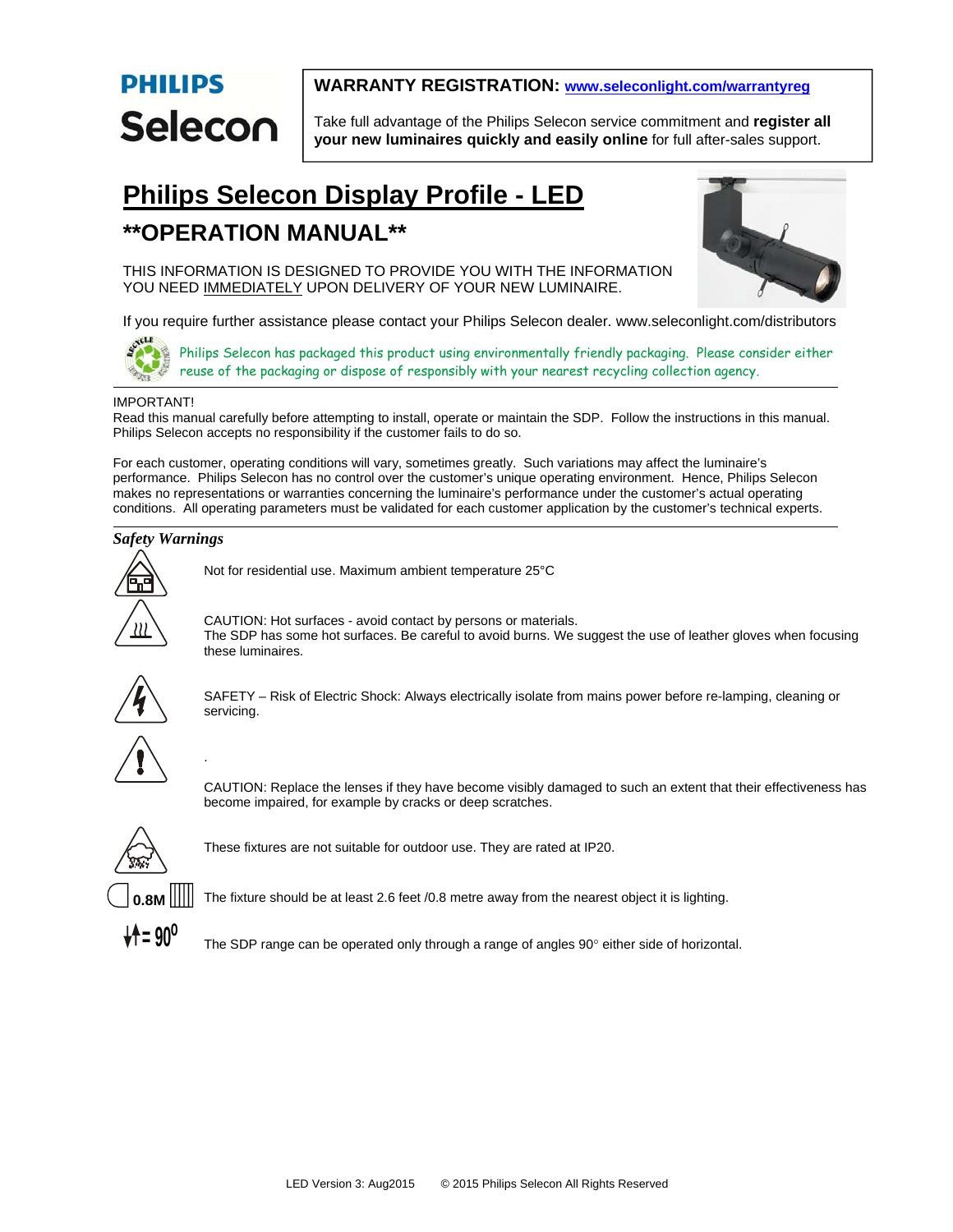# **PHILIPS** Selecon

## **WARRANTY REGISTRATION: www.seleconlight.com/warrantyreg**

Take full advantage of the Philips Selecon service commitment and **register all your new luminaires quickly and easily online** for full after-sales support.

## **Philips Selecon Display Profile - LED**

## **\*\*OPERATION MANUAL\*\***



THIS INFORMATION IS DESIGNED TO PROVIDE YOU WITH THE INFORMATION YOU NEED IMMEDIATELY UPON DELIVERY OF YOUR NEW LUMINAIRE.

If you require further assistance please contact your Philips Selecon dealer. www.seleconlight.com/distributors



Philips Selecon has packaged this product using environmentally friendly packaging. Please consider either reuse of the packaging or dispose of responsibly with your nearest recycling collection agency.

## IMPORTANT!

Read this manual carefully before attempting to install, operate or maintain the SDP. Follow the instructions in this manual. Philips Selecon accepts no responsibility if the customer fails to do so.

For each customer, operating conditions will vary, sometimes greatly. Such variations may affect the luminaire's performance. Philips Selecon has no control over the customer's unique operating environment. Hence, Philips Selecon makes no representations or warranties concerning the luminaire's performance under the customer's actual operating conditions. All operating parameters must be validated for each customer application by the customer's technical experts.

## *Safety Warnings*



Not for residential use. Maximum ambient temperature 25°C

.

CAUTION: Hot surfaces - avoid contact by persons or materials. The SDP has some hot surfaces. Be careful to avoid burns. We suggest the use of leather gloves when focusing these luminaires.



SAFETY – Risk of Electric Shock: Always electrically isolate from mains power before re-lamping, cleaning or servicing.

CAUTION: Replace the lenses if they have become visibly damaged to such an extent that their effectiveness has become impaired, for example by cracks or deep scratches.



These fixtures are not suitable for outdoor use. They are rated at IP20.



The fixture should be at least 2.6 feet /0.8 metre away from the nearest object it is lighting.

The SDP range can be operated only through a range of angles  $90^\circ$  either side of horizontal.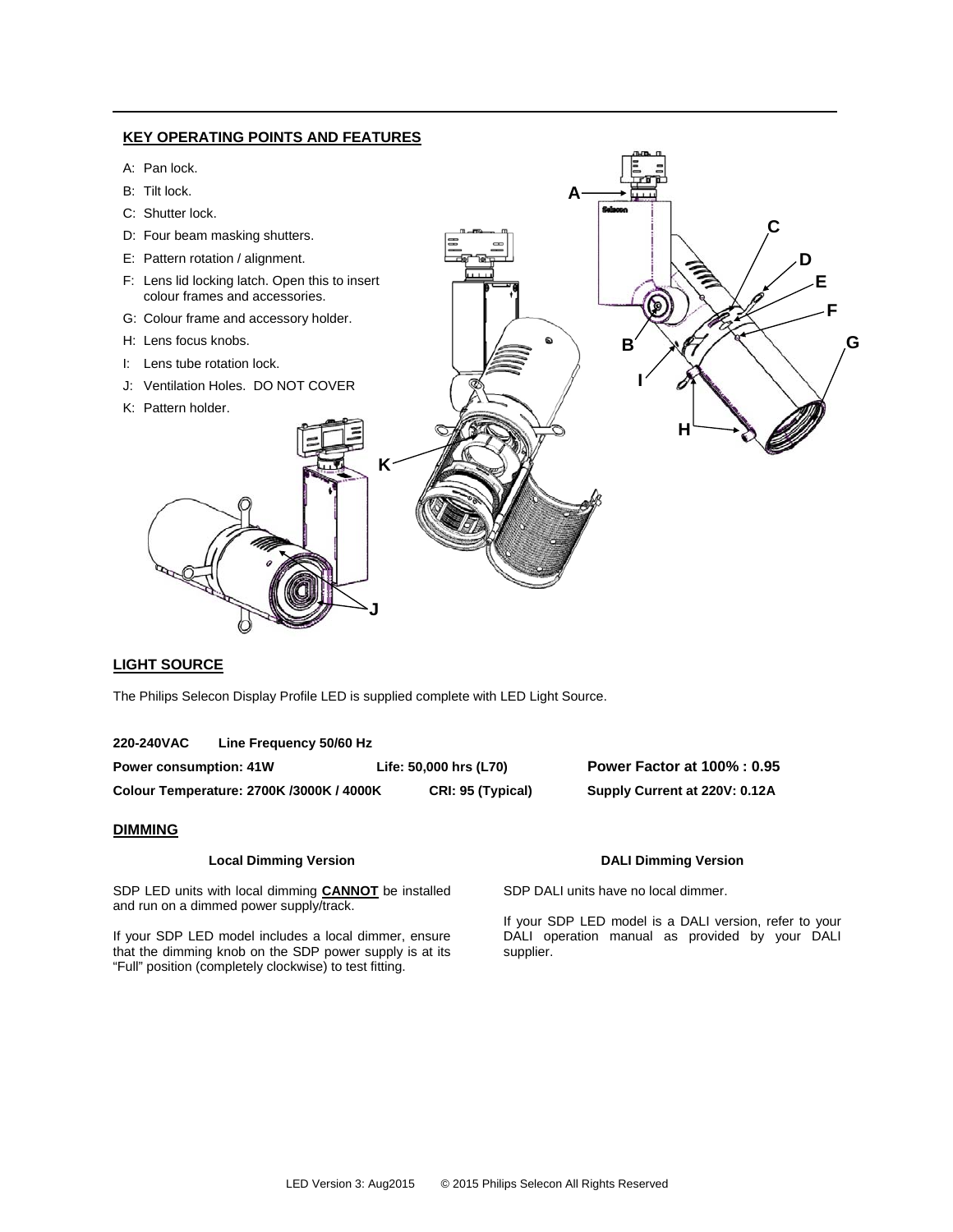

### **LIGHT SOURCE**

The Philips Selecon Display Profile LED is supplied complete with LED Light Source.

| 220-240VAC | Line Frequency 50/60 Hz |
|------------|-------------------------|
|------------|-------------------------|

**Power consumption: 41W Life: 50,000 hrs (L70) Power Factor at 100% : 0.95 Colour Temperature: 2700K /3000K / 4000K CRI: 95 (Typical) Supply Current at 220V: 0.12A** 

### **DIMMING**

#### **Local Dimming Version**

SDP LED units with local dimming **CANNOT** be installed and run on a dimmed power supply/track.

If your SDP LED model includes a local dimmer, ensure that the dimming knob on the SDP power supply is at its "Full" position (completely clockwise) to test fitting.

## **DALI Dimming Version**

SDP DALI units have no local dimmer.

If your SDP LED model is a DALI version, refer to your DALI operation manual as provided by your DALI supplier.